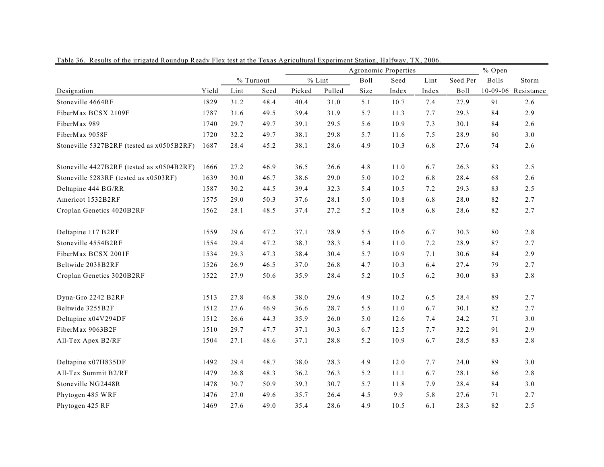|                                           |       |           |      |        | Agronomic Properties | % Open |       |       |             |              |                     |
|-------------------------------------------|-------|-----------|------|--------|----------------------|--------|-------|-------|-------------|--------------|---------------------|
|                                           |       | % Turnout |      |        | $%$ Lint             | Boll   | Seed  | Lint  | Seed Per    | <b>Bolls</b> | Storm               |
| Designation                               | Yield | Lint      | Seed | Picked | Pulled               | Size   | Index | Index | <b>Boll</b> |              | 10-09-06 Resistance |
| Stoneville 4664RF                         | 1829  | 31.2      | 48.4 | 40.4   | 31.0                 | 5.1    | 10.7  | 7.4   | 27.9        | 91           | 2.6                 |
| FiberMax BCSX 2109F                       | 1787  | 31.6      | 49.5 | 39.4   | 31.9                 | 5.7    | 11.3  | 7.7   | 29.3        | 84           | 2.9                 |
| FiberMax 989                              | 1740  | 29.7      | 49.7 | 39.1   | 29.5                 | 5.6    | 10.9  | 7.3   | 30.1        | 84           | 2.6                 |
| FiberMax 9058F                            | 1720  | 32.2      | 49.7 | 38.1   | 29.8                 | 5.7    | 11.6  | 7.5   | 28.9        | 80           | 3.0                 |
| Stoneville 5327B2RF (tested as x0505B2RF) | 1687  | 28.4      | 45.2 | 38.1   | 28.6                 | 4.9    | 10.3  | 6.8   | 27.6        | 74           | 2.6                 |
| Stoneville 4427B2RF (tested as x0504B2RF) | 1666  | 27.2      | 46.9 | 36.5   | 26.6                 | 4.8    | 11.0  | 6.7   | 26.3        | 83           | 2.5                 |
| Stoneville 5283RF (tested as x0503RF)     | 1639  | 30.0      | 46.7 | 38.6   | 29.0                 | 5.0    | 10.2  | 6.8   | 28.4        | 68           | 2.6                 |
| Deltapine 444 BG/RR                       | 1587  | 30.2      | 44.5 | 39.4   | 32.3                 | 5.4    | 10.5  | 7.2   | 29.3        | 83           | 2.5                 |
| Americot 1532B2RF                         | 1575  | 29.0      | 50.3 | 37.6   | 28.1                 | 5.0    | 10.8  | 6.8   | 28.0        | 82           | 2.7                 |
| Croplan Genetics 4020B2RF                 | 1562  | 28.1      | 48.5 | 37.4   | 27.2                 | 5.2    | 10.8  | 6.8   | 28.6        | 82           | 2.7                 |
| Deltapine 117 B2RF                        | 1559  | 29.6      | 47.2 | 37.1   | 28.9                 | 5.5    | 10.6  | 6.7   | 30.3        | 80           | 2.8                 |
| Stoneville 4554B2RF                       | 1554  | 29.4      | 47.2 | 38.3   | 28.3                 | 5.4    | 11.0  | 7.2   | 28.9        | 87           | 2.7                 |
| FiberMax BCSX 2001F                       | 1534  | 29.3      | 47.3 | 38.4   | 30.4                 | 5.7    | 10.9  | 7.1   | 30.6        | 84           | 2.9                 |
| Beltwide 2038B2RF                         | 1526  | 26.9      | 46.5 | 37.0   | 26.8                 | 4.7    | 10.3  | 6.4   | 27.4        | 79           | 2.7                 |
| Croplan Genetics 3020B2RF                 | 1522  | 27.9      | 50.6 | 35.9   | 28.4                 | 5.2    | 10.5  | 6.2   | 30.0        | 83           | 2.8                 |
| Dyna-Gro 2242 B2RF                        | 1513  | 27.8      | 46.8 | 38.0   | 29.6                 | 4.9    | 10.2  | 6.5   | 28.4        | 89           | 2.7                 |
| Beltwide 3255B2F                          | 1512  | 27.6      | 46.9 | 36.6   | 28.7                 | 5.5    | 11.0  | 6.7   | 30.1        | 82           | 2.7                 |
| Deltapine x04V294DF                       | 1512  | 26.6      | 44.3 | 35.9   | 26.0                 | 5.0    | 12.6  | 7.4   | 24.2        | 71           | 3.0                 |
| FiberMax 9063B2F                          | 1510  | 29.7      | 47.7 | 37.1   | 30.3                 | 6.7    | 12.5  | 7.7   | 32.2        | 91           | 2.9                 |
| All-Tex Apex B2/RF                        | 1504  | 27.1      | 48.6 | 37.1   | 28.8                 | 5.2    | 10.9  | 6.7   | 28.5        | 83           | 2.8                 |
| Deltapine x07H835DF                       | 1492  | 29.4      | 48.7 | 38.0   | 28.3                 | 4.9    | 12.0  | 7.7   | 24.0        | 89           | 3.0                 |
| All-Tex Summit B2/RF                      | 1479  | 26.8      | 48.3 | 36.2   | 26.3                 | 5.2    | 11.1  | 6.7   | 28.1        | 86           | 2.8                 |
| Stoneville NG2448R                        | 1478  | 30.7      | 50.9 | 39.3   | 30.7                 | 5.7    | 11.8  | 7.9   | 28.4        | 84           | 3.0                 |
| Phytogen 485 WRF                          | 1476  | 27.0      | 49.6 | 35.7   | 26.4                 | 4.5    | 9.9   | 5.8   | 27.6        | 71           | 2.7                 |
| Phytogen 425 RF                           | 1469  | 27.6      | 49.0 | 35.4   | 28.6                 | 4.9    | 10.5  | 6.1   | 28.3        | 82           | 2.5                 |

Table 36. Results of the irrigated Roundup Ready Flex test at the Texas Agricultural Experiment Station, Halfway, TX, 2006.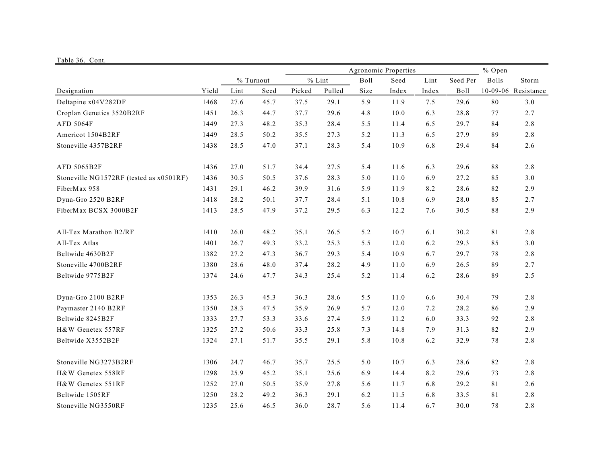| Table 36. Cont.                         |       |      |           |        |          |                                |       |       |          |              |                     |  |  |  |  |
|-----------------------------------------|-------|------|-----------|--------|----------|--------------------------------|-------|-------|----------|--------------|---------------------|--|--|--|--|
|                                         |       |      |           |        |          | Agronomic Properties<br>% Open |       |       |          |              |                     |  |  |  |  |
|                                         |       |      | % Turnout |        | $%$ Lint | Boll                           | Seed  | Lint  | Seed Per | <b>Bolls</b> | Storm               |  |  |  |  |
| Designation                             | Yield | Lint | Seed      | Picked | Pulled   | Size                           | Index | Index | Boll     |              | 10-09-06 Resistance |  |  |  |  |
| Deltapine x04V282DF                     | 1468  | 27.6 | 45.7      | 37.5   | 29.1     | 5.9                            | 11.9  | 7.5   | 29.6     | 80           | 3.0                 |  |  |  |  |
| Croplan Genetics 3520B2RF               | 1451  | 26.3 | 44.7      | 37.7   | 29.6     | 4.8                            | 10.0  | 6.3   | 28.8     | 77           | 2.7                 |  |  |  |  |
| AFD 5064F                               | 1449  | 27.3 | 48.2      | 35.3   | 28.4     | 5.5                            | 11.4  | 6.5   | 29.7     | 84           | 2.8                 |  |  |  |  |
| Americot 1504B2RF                       | 1449  | 28.5 | 50.2      | 35.5   | 27.3     | 5.2                            | 11.3  | 6.5   | 27.9     | 89           | 2.8                 |  |  |  |  |
| Stoneville 4357B2RF                     | 1438  | 28.5 | 47.0      | 37.1   | 28.3     | 5.4                            | 10.9  | 6.8   | 29.4     | 84           | 2.6                 |  |  |  |  |
| AFD 5065B2F                             | 1436  | 27.0 | 51.7      | 34.4   | 27.5     | 5.4                            | 11.6  | 6.3   | 29.6     | 88           | 2.8                 |  |  |  |  |
| Stoneville NG1572RF (tested as x0501RF) | 1436  | 30.5 | 50.5      | 37.6   | 28.3     | 5.0                            | 11.0  | 6.9   | 27.2     | 85           | 3.0                 |  |  |  |  |
| FiberMax 958                            | 1431  | 29.1 | 46.2      | 39.9   | 31.6     | 5.9                            | 11.9  | 8.2   | 28.6     | 82           | 2.9                 |  |  |  |  |
| Dyna-Gro 2520 B2RF                      | 1418  | 28.2 | 50.1      | 37.7   | 28.4     | 5.1                            | 10.8  | 6.9   | 28.0     | 85           | 2.7                 |  |  |  |  |
| FiberMax BCSX 3000B2F                   | 1413  | 28.5 | 47.9      | 37.2   | 29.5     | 6.3                            | 12.2  | 7.6   | 30.5     | 88           | 2.9                 |  |  |  |  |
| All-Tex Marathon B2/RF                  | 1410  | 26.0 | 48.2      | 35.1   | 26.5     | 5.2                            | 10.7  | 6.1   | 30.2     | 81           | 2.8                 |  |  |  |  |
| All-Tex Atlas                           | 1401  | 26.7 | 49.3      | 33.2   | 25.3     | 5.5                            | 12.0  | 6.2   | 29.3     | 85           | 3.0                 |  |  |  |  |
| Beltwide 4630B2F                        | 1382  | 27.2 | 47.3      | 36.7   | 29.3     | 5.4                            | 10.9  | 6.7   | 29.7     | 78           | 2.8                 |  |  |  |  |
| Stoneville 4700B2RF                     | 1380  | 28.6 | 48.0      | 37.4   | 28.2     | 4.9                            | 11.0  | 6.9   | 26.5     | 89           | 2.7                 |  |  |  |  |
| Beltwide 9775B2F                        | 1374  | 24.6 | 47.7      | 34.3   | 25.4     | 5.2                            | 11.4  | 6.2   | 28.6     | 89           | 2.5                 |  |  |  |  |
| Dyna-Gro 2100 B2RF                      | 1353  | 26.3 | 45.3      | 36.3   | 28.6     | 5.5                            | 11.0  | 6.6   | 30.4     | 79           | 2.8                 |  |  |  |  |
| Paymaster 2140 B2RF                     | 1350  | 28.3 | 47.5      | 35.9   | 26.9     | 5.7                            | 12.0  | 7.2   | 28.2     | 86           | 2.9                 |  |  |  |  |
| Beltwide 8245B2F                        | 1333  | 27.7 | 53.3      | 33.6   | 27.4     | 5.9                            | 11.2  | 6.0   | 33.3     | 92           | 2.8                 |  |  |  |  |
| H&W Genetex 557RF                       | 1325  | 27.2 | 50.6      | 33.3   | 25.8     | 7.3                            | 14.8  | 7.9   | 31.3     | 82           | 2.9                 |  |  |  |  |
| Beltwide X3552B2F                       | 1324  | 27.1 | 51.7      | 35.5   | 29.1     | 5.8                            | 10.8  | 6.2   | 32.9     | 78           | 2.8                 |  |  |  |  |
| Stoneville NG3273B2RF                   | 1306  | 24.7 | 46.7      | 35.7   | 25.5     | 5.0                            | 10.7  | 6.3   | 28.6     | $82\,$       | 2.8                 |  |  |  |  |
| H&W Genetex 558RF                       | 1298  | 25.9 | 45.2      | 35.1   | 25.6     | 6.9                            | 14.4  | 8.2   | 29.6     | 73           | 2.8                 |  |  |  |  |
| H&W Genetex 551RF                       | 1252  | 27.0 | 50.5      | 35.9   | 27.8     | 5.6                            | 11.7  | 6.8   | 29.2     | 81           | 2.6                 |  |  |  |  |
| Beltwide 1505RF                         | 1250  | 28.2 | 49.2      | 36.3   | 29.1     | 6.2                            | 11.5  | 6.8   | 33.5     | 81           | 2.8                 |  |  |  |  |
| Stoneville NG3550RF                     | 1235  | 25.6 | 46.5      | 36.0   | 28.7     | 5.6                            | 11.4  | 6.7   | 30.0     | 78           | 2.8                 |  |  |  |  |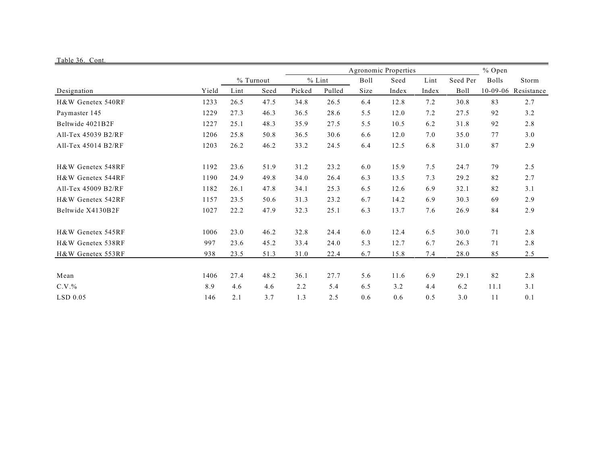| Table 36. Cont.     |       |      |           |        |          |      |                      |       |          |              |            |  |
|---------------------|-------|------|-----------|--------|----------|------|----------------------|-------|----------|--------------|------------|--|
|                     |       |      |           |        |          |      | Agronomic Properties |       | $%$ Open |              |            |  |
|                     |       |      | % Turnout |        | $%$ Lint | Boll | Seed                 | Lint  | Seed Per | <b>Bolls</b> | Storm      |  |
| Designation         | Yield | Lint | Seed      | Picked | Pulled   | Size | Index                | Index | Boll     | $10-09-06$   | Resistance |  |
| H&W Genetex 540RF   | 1233  | 26.5 | 47.5      | 34.8   | 26.5     | 6.4  | 12.8                 | 7.2   | 30.8     | 83           | 2.7        |  |
| Paymaster 145       | 1229  | 27.3 | 46.3      | 36.5   | 28.6     | 5.5  | 12.0                 | 7.2   | 27.5     | 92           | 3.2        |  |
| Beltwide 4021B2F    | 1227  | 25.1 | 48.3      | 35.9   | 27.5     | 5.5  | 10.5                 | 6.2   | 31.8     | 92           | 2.8        |  |
| All-Tex 45039 B2/RF | 1206  | 25.8 | 50.8      | 36.5   | 30.6     | 6.6  | 12.0                 | 7.0   | 35.0     | 77           | 3.0        |  |
| All-Tex 45014 B2/RF | 1203  | 26.2 | 46.2      | 33.2   | 24.5     | 6.4  | 12.5                 | 6.8   | 31.0     | 87           | 2.9        |  |
| H&W Genetex 548RF   | 1192  | 23.6 | 51.9      | 31.2   | 23.2     | 6.0  | 15.9                 | 7.5   | 24.7     | 79           | 2.5        |  |
| H&W Genetex 544RF   | 1190  | 24.9 | 49.8      | 34.0   | 26.4     | 6.3  | 13.5                 | 7.3   | 29.2     | 82           | 2.7        |  |
| All-Tex 45009 B2/RF | 1182  | 26.1 | 47.8      | 34.1   | 25.3     | 6.5  | 12.6                 | 6.9   | 32.1     | 82           | 3.1        |  |
| H&W Genetex 542RF   | 1157  | 23.5 | 50.6      | 31.3   | 23.2     | 6.7  | 14.2                 | 6.9   | 30.3     | 69           | 2.9        |  |
| Beltwide X4130B2F   | 1027  | 22.2 | 47.9      | 32.3   | 25.1     | 6.3  | 13.7                 | 7.6   | 26.9     | 84           | 2.9        |  |
| H&W Genetex 545RF   | 1006  | 23.0 | 46.2      | 32.8   | 24.4     | 6.0  | 12.4                 | 6.5   | 30.0     | 71           | 2.8        |  |
| H&W Genetex 538RF   | 997   | 23.6 | 45.2      | 33.4   | 24.0     | 5.3  | 12.7                 | 6.7   | 26.3     | 71           | 2.8        |  |
| H&W Genetex 553RF   | 938   | 23.5 | 51.3      | 31.0   | 22.4     | 6.7  | 15.8                 | 7.4   | 28.0     | 85           | 2.5        |  |
| Mean                | 1406  | 27.4 | 48.2      | 36.1   | 27.7     | 5.6  | 11.6                 | 6.9   | 29.1     | 82           | 2.8        |  |
| $C.V.$ %            | 8.9   | 4.6  | 4.6       | 2.2    | 5.4      | 6.5  | 3.2                  | 4.4   | 6.2      | 11.1         | 3.1        |  |
| LSD 0.05            | 146   | 2.1  | 3.7       | 1.3    | 2.5      | 0.6  | 0.6                  | 0.5   | 3.0      | 11           | 0.1        |  |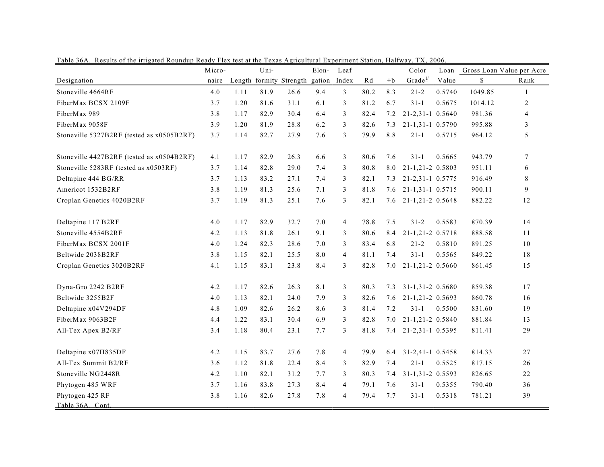|                                           | Micro- |      | Uni- |                                | Elon-   | Leaf           |      |      | Color                        | Loan   |         | Gross Loan Value per Acre |
|-------------------------------------------|--------|------|------|--------------------------------|---------|----------------|------|------|------------------------------|--------|---------|---------------------------|
| Designation                               | naire  |      |      | Length formity Strength gation |         | Index          | Rd   | $+b$ | $Grade^{\perp\!\!\!\!\perp}$ | Value  | \$      | Rank                      |
| Stoneville 4664RF                         | 4.0    | 1.11 | 81.9 | 26.6                           | 9.4     | 3              | 80.2 | 8.3  | $21 - 2$                     | 0.5740 | 1049.85 | 1                         |
| FiberMax BCSX 2109F                       | 3.7    | 1.20 | 81.6 | 31.1                           | 6.1     | 3              | 81.2 | 6.7  | $31 - 1$                     | 0.5675 | 1014.12 | 2                         |
| FiberMax 989                              | 3.8    | 1.17 | 82.9 | 30.4                           | 6.4     | 3              | 82.4 | 7.2  | 21-2,31-1 0.5640             |        | 981.36  | $\overline{4}$            |
| FiberMax 9058F                            | 3.9    | 1.20 | 81.9 | 28.8                           | 6.2     | 3              | 82.6 | 7.3  | 21-1,31-1 0.5790             |        | 995.88  | 3                         |
| Stoneville 5327B2RF (tested as x0505B2RF) | 3.7    | 1.14 | 82.7 | 27.9                           | 7.6     | $\overline{3}$ | 79.9 | 8.8  | $21 - 1$                     | 0.5715 | 964.12  | 5                         |
| Stoneville 4427B2RF (tested as x0504B2RF) | 4.1    | 1.17 | 82.9 | 26.3                           | 6.6     | 3              | 80.6 | 7.6  | $31-1$                       | 0.5665 | 943.79  | $\tau$                    |
| Stoneville 5283RF (tested as x0503RF)     | 3.7    | 1.14 | 82.8 | 29.0                           | 7.4     | 3              | 80.8 | 8.0  | 21-1,21-2 0.5803             |        | 951.11  | 6                         |
| Deltapine 444 BG/RR                       | 3.7    | 1.13 | 83.2 | 27.1                           | 7.4     | 3              | 82.1 | 7.3  | 21-2,31-1 0.5775             |        | 916.49  | 8                         |
| Americot 1532B2RF                         | 3.8    | 1.19 | 81.3 | 25.6                           | 7.1     | 3              | 81.8 | 7.6  | 21-1,31-1 0.5715             |        | 900.11  | 9                         |
| Croplan Genetics 4020B2RF                 | 3.7    | 1.19 | 81.3 | 25.1                           | 7.6     | 3              | 82.1 | 7.6  | 21-1,21-2 0.5648             |        | 882.22  | 12                        |
| Deltapine 117 B2RF                        | 4.0    | 1.17 | 82.9 | 32.7                           | $7.0\,$ | $\overline{4}$ | 78.8 | 7.5  | $31 - 2$                     | 0.5583 | 870.39  | 14                        |
| Stoneville 4554B2RF                       | 4.2    | 1.13 | 81.8 | 26.1                           | 9.1     | 3              | 80.6 | 8.4  | 21-1,21-2 0.5718             |        | 888.58  | 11                        |
| FiberMax BCSX 2001F                       | 4.0    | 1.24 | 82.3 | 28.6                           | 7.0     | 3              | 83.4 | 6.8  | $21 - 2$                     | 0.5810 | 891.25  | 10                        |
| Beltwide 2038B2RF                         | 3.8    | 1.15 | 82.1 | 25.5                           | 8.0     | 4              | 81.1 | 7.4  | $31 - 1$                     | 0.5565 | 849.22  | 18                        |
| Croplan Genetics 3020B2RF                 | 4.1    | 1.15 | 83.1 | 23.8                           | 8.4     | 3              | 82.8 | 7.0  | 21-1,21-2 0.5660             |        | 861.45  | 15                        |
| Dyna-Gro 2242 B2RF                        | 4.2    | 1.17 | 82.6 | 26.3                           | 8.1     | 3              | 80.3 | 7.3  | 31-1,31-2 0.5680             |        | 859.38  | 17                        |
| Beltwide 3255B2F                          | 4.0    | 1.13 | 82.1 | 24.0                           | 7.9     | 3              | 82.6 | 7.6  | 21-1,21-2 0.5693             |        | 860.78  | 16                        |
| Deltapine x04V294DF                       | 4.8    | 1.09 | 82.6 | 26.2                           | 8.6     | 3              | 81.4 | 7.2  | $31-1$                       | 0.5500 | 831.60  | 19                        |
| FiberMax 9063B2F                          | 4.4    | 1.22 | 83.1 | 30.4                           | 6.9     | 3              | 82.8 | 7.0  | 21-1,21-2 0.5840             |        | 881.84  | 13                        |
| All-Tex Apex B2/RF                        | 3.4    | 1.18 | 80.4 | 23.1                           | 7.7     | 3              | 81.8 | 7.4  | 21-2,31-1 0.5395             |        | 811.41  | 29                        |
| Deltapine x07H835DF                       | 4.2    | 1.15 | 83.7 | 27.6                           | 7.8     | $\overline{4}$ | 79.9 | 6.4  | 31-2,41-1 0.5458             |        | 814.33  | 27                        |
| All-Tex Summit B2/RF                      | 3.6    | 1.12 | 81.8 | 22.4                           | 8.4     | 3              | 82.9 | 7.4  | $21 - 1$                     | 0.5525 | 817.15  | 26                        |
| Stoneville NG2448R                        | 4.2    | 1.10 | 82.1 | 31.2                           | 7.7     | 3              | 80.3 | 7.4  | $31-1,31-2$ 0.5593           |        | 826.65  | 22                        |
| Phytogen 485 WRF                          | 3.7    | 1.16 | 83.8 | 27.3                           | 8.4     | 4              | 79.1 | 7.6  | $31-1$                       | 0.5355 | 790.40  | 36                        |
| Phytogen 425 RF<br>Table 36A. Cont.       | 3.8    | 1.16 | 82.6 | 27.8                           | 7.8     | 4              | 79.4 | 7.7  | $31-1$                       | 0.5318 | 781.21  | 39                        |

Table 36A. Results of the irrigated Roundup Ready Flex test at the Texas Agricultural Experiment Station, Halfway, TX, 2006.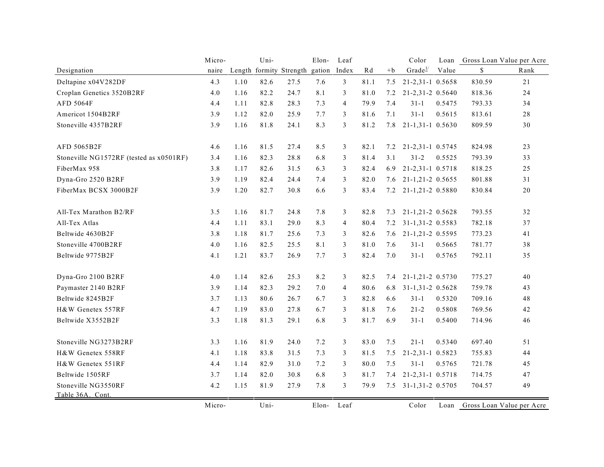|                                         | Micro- |      | Uni- |                                | Elon- | Leaf           |      |      | Color                | Loan   |        | Gross Loan Value per Acre |
|-----------------------------------------|--------|------|------|--------------------------------|-------|----------------|------|------|----------------------|--------|--------|---------------------------|
| Designation                             | naire  |      |      | Length formity Strength gation |       | Index          | Rd   | $+b$ | Grade <sup>1/</sup>  | Value  | \$     | Rank                      |
| Deltapine x04V282DF                     | 4.3    | 1.10 | 82.6 | 27.5                           | 7.6   | $\mathfrak{Z}$ | 81.1 | 7.5  | 21-2,31-1 0.5658     |        | 830.59 | 21                        |
| Croplan Genetics 3520B2RF               | 4.0    | 1.16 | 82.2 | 24.7                           | 8.1   | 3              | 81.0 | 7.2  | 21-2,31-2 0.5640     |        | 818.36 | 24                        |
| <b>AFD 5064F</b>                        | 4.4    | 1.11 | 82.8 | 28.3                           | 7.3   | $\overline{4}$ | 79.9 | 7.4  | $31-1$               | 0.5475 | 793.33 | 34                        |
| Americot 1504B2RF                       | 3.9    | 1.12 | 82.0 | 25.9                           | 7.7   | 3              | 81.6 | 7.1  | $31 - 1$             | 0.5615 | 813.61 | 28                        |
| Stoneville 4357B2RF                     | 3.9    | 1.16 | 81.8 | 24.1                           | 8.3   | 3              | 81.2 | 7.8  | 21-1,31-1 0.5630     |        | 809.59 | 30                        |
| AFD 5065B2F                             | 4.6    | 1.16 | 81.5 | 27.4                           | 8.5   | $\mathfrak{Z}$ | 82.1 | 7.2  | 21-2,31-1 0.5745     |        | 824.98 | 23                        |
| Stoneville NG1572RF (tested as x0501RF) | 3.4    | 1.16 | 82.3 | 28.8                           | 6.8   | 3              | 81.4 | 3.1  | $31 - 2$             | 0.5525 | 793.39 | 33                        |
| FiberMax 958                            | 3.8    | 1.17 | 82.6 | 31.5                           | 6.3   | 3              | 82.4 | 6.9  | 21-2,31-1 0.5718     |        | 818.25 | 25                        |
| Dyna-Gro 2520 B2RF                      | 3.9    | 1.19 | 82.4 | 24.4                           | 7.4   | 3              | 82.0 | 7.6  | 21-1,21-2 0.5655     |        | 801.88 | 31                        |
| FiberMax BCSX 3000B2F                   | 3.9    | 1.20 | 82.7 | 30.8                           | 6.6   | 3              | 83.4 |      | 7.2 21-1,21-2 0.5880 |        | 830.84 | 20                        |
| All-Tex Marathon B2/RF                  | 3.5    | 1.16 | 81.7 | 24.8                           | 7.8   | 3              | 82.8 | 7.3  | 21-1,21-2 0.5628     |        | 793.55 | 32                        |
| All-Tex Atlas                           | 4.4    | 1.11 | 83.1 | 29.0                           | 8.3   | $\overline{4}$ | 80.4 | 7.2  | 31-1,31-2 0.5583     |        | 782.18 | 37                        |
| Beltwide 4630B2F                        | 3.8    | 1.18 | 81.7 | 25.6                           | 7.3   | 3              | 82.6 | 7.6  | 21-1,21-2 0.5595     |        | 773.23 | 41                        |
| Stoneville 4700B2RF                     | 4.0    | 1.16 | 82.5 | 25.5                           | 8.1   | 3              | 81.0 | 7.6  | $31-1$               | 0.5665 | 781.77 | 38                        |
| Beltwide 9775B2F                        | 4.1    | 1.21 | 83.7 | 26.9                           | 7.7   | 3              | 82.4 | 7.0  | $31 - 1$             | 0.5765 | 792.11 | 35                        |
| Dyna-Gro 2100 B2RF                      | 4.0    | 1.14 | 82.6 | 25.3                           | 8.2   | 3              | 82.5 | 7.4  | 21-1,21-2 0.5730     |        | 775.27 | 40                        |
| Paymaster 2140 B2RF                     | 3.9    | 1.14 | 82.3 | 29.2                           | 7.0   | $\overline{4}$ | 80.6 | 6.8  | 31-1,31-2 0.5628     |        | 759.78 | 43                        |
| Beltwide 8245B2F                        | 3.7    | 1.13 | 80.6 | 26.7                           | 6.7   | 3              | 82.8 | 6.6  | $31 - 1$             | 0.5320 | 709.16 | 48                        |
| H&W Genetex 557RF                       | 4.7    | 1.19 | 83.0 | 27.8                           | 6.7   | 3              | 81.8 | 7.6  | $21 - 2$             | 0.5808 | 769.56 | 42                        |
| Beltwide X3552B2F                       | 3.3    | 1.18 | 81.3 | 29.1                           | 6.8   | 3              | 81.7 | 6.9  | $31 - 1$             | 0.5400 | 714.96 | 46                        |
| Stoneville NG3273B2RF                   | 3.3    | 1.16 | 81.9 | 24.0                           | 7.2   | 3              | 83.0 | 7.5  | $21 - 1$             | 0.5340 | 697.40 | 51                        |
| H&W Genetex 558RF                       | 4.1    | 1.18 | 83.8 | 31.5                           | 7.3   | 3              | 81.5 | 7.5  | 21-2,31-1 0.5823     |        | 755.83 | 44                        |
| H&W Genetex 551RF                       | 4.4    | 1.14 | 82.9 | 31.0                           | 7.2   | 3              | 80.0 | 7.5  | $31 - 1$             | 0.5765 | 721.78 | 45                        |
| Beltwide 1505RF                         | 3.7    | 1.14 | 82.0 | 30.8                           | 6.8   | 3              | 81.7 | 7.4  | 21-2,31-1 0.5718     |        | 714.75 | 47                        |
| Stoneville NG3550RF                     | 4.2    | 1.15 | 81.9 | 27.9                           | 7.8   | 3              | 79.9 | 7.5  | 31-1,31-2 0.5705     |        | 704.57 | 49                        |
| Table 36A. Cont.                        |        |      |      |                                |       |                |      |      |                      |        |        |                           |
|                                         | Micro- |      | Uni- |                                | Elon- | Leaf           |      |      | Color                | Loan   |        | Gross Loan Value per Acre |